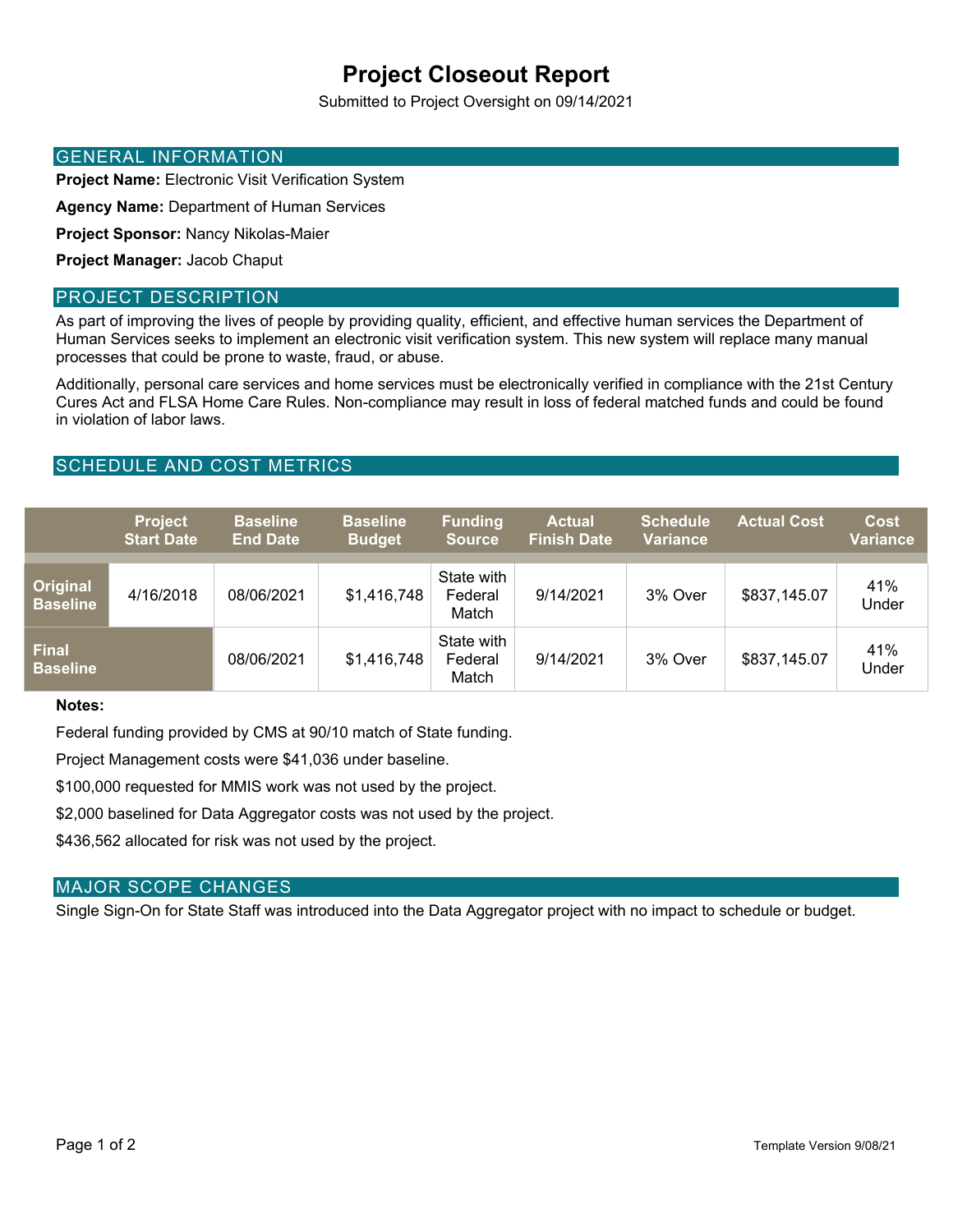# **Project Closeout Report**

Submitted to Project Oversight on 09/14/2021

## GENERAL INFORMATION

**Project Name:** Electronic Visit Verification System

**Agency Name:** Department of Human Services

**Project Sponsor:** Nancy Nikolas-Maier

**Project Manager:** Jacob Chaput

#### PROJECT DESCRIPTION

As part of improving the lives of people by providing quality, efficient, and effective human services the Department of Human Services seeks to implement an electronic visit verification system. This new system will replace many manual processes that could be prone to waste, fraud, or abuse.

Additionally, personal care services and home services must be electronically verified in compliance with the 21st Century Cures Act and FLSA Home Care Rules. Non-compliance may result in loss of federal matched funds and could be found in violation of labor laws.

# SCHEDULE AND COST METRICS

|                                    | <b>Project</b><br><b>Start Date</b> | <b>Baseline</b><br><b>End Date</b> | <b>Baseline</b><br><b>Budget</b> | <b>Funding</b><br><b>Source</b> | <b>Actual</b><br><b>Finish Date</b> | <b>Schedule</b><br><b>Variance</b> | <b>Actual Cost</b> | <b>Cost</b><br>Variance |
|------------------------------------|-------------------------------------|------------------------------------|----------------------------------|---------------------------------|-------------------------------------|------------------------------------|--------------------|-------------------------|
| <b>Original</b><br><b>Baseline</b> | 4/16/2018                           | 08/06/2021                         | \$1,416,748                      | State with<br>Federal<br>Match  | 9/14/2021                           | 3% Over                            | \$837,145.07       | 41%<br>Under            |
| <b>Final</b><br><b>Baseline</b>    |                                     | 08/06/2021                         | \$1,416,748                      | State with<br>Federal<br>Match  | 9/14/2021                           | 3% Over                            | \$837,145.07       | 41%<br>Under            |

#### **Notes:**

Federal funding provided by CMS at 90/10 match of State funding.

Project Management costs were \$41,036 under baseline.

\$100,000 requested for MMIS work was not used by the project.

\$2,000 baselined for Data Aggregator costs was not used by the project.

\$436,562 allocated for risk was not used by the project.

#### MAJOR SCOPE CHANGES

Single Sign-On for State Staff was introduced into the Data Aggregator project with no impact to schedule or budget.